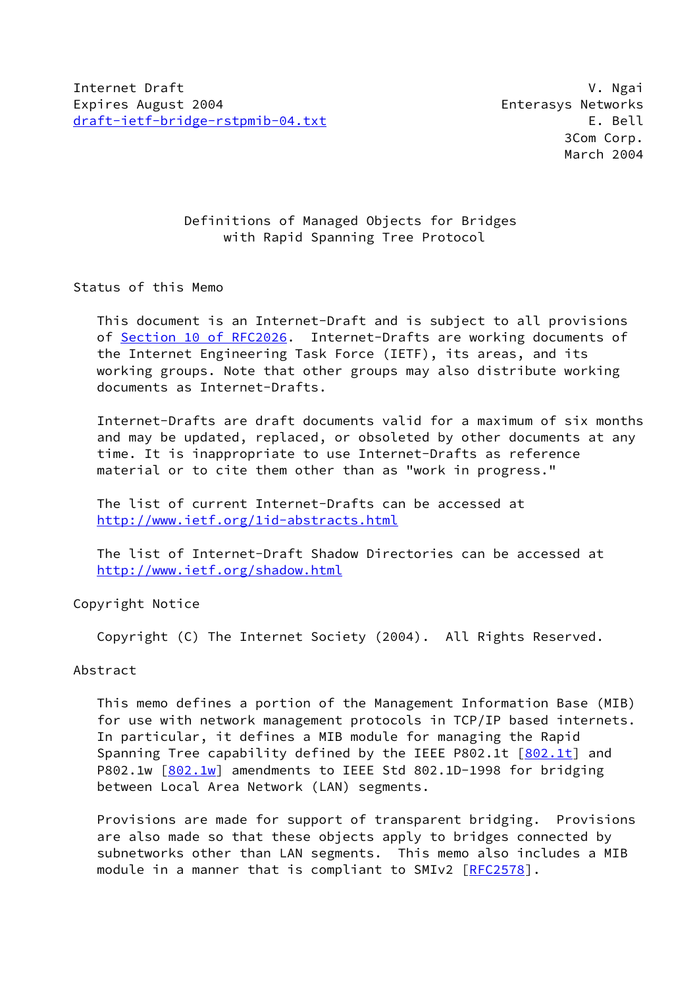# Definitions of Managed Objects for Bridges with Rapid Spanning Tree Protocol

### Status of this Memo

 This document is an Internet-Draft and is subject to all provisions of Section [10 of RFC2026.](https://datatracker.ietf.org/doc/pdf/rfc2026#section-10) Internet-Drafts are working documents of the Internet Engineering Task Force (IETF), its areas, and its working groups. Note that other groups may also distribute working documents as Internet-Drafts.

 Internet-Drafts are draft documents valid for a maximum of six months and may be updated, replaced, or obsoleted by other documents at any time. It is inappropriate to use Internet-Drafts as reference material or to cite them other than as "work in progress."

 The list of current Internet-Drafts can be accessed at <http://www.ietf.org/1id-abstracts.html>

 The list of Internet-Draft Shadow Directories can be accessed at <http://www.ietf.org/shadow.html>

Copyright Notice

Copyright (C) The Internet Society (2004). All Rights Reserved.

# Abstract

 This memo defines a portion of the Management Information Base (MIB) for use with network management protocols in TCP/IP based internets. In particular, it defines a MIB module for managing the Rapid Spanning Tree capability defined by the IEEE P802.1t  $[802.1t]$  $[802.1t]$  and P802.1w  $[802.1w]$  $[802.1w]$  amendments to IEEE Std 802.1D-1998 for bridging between Local Area Network (LAN) segments.

 Provisions are made for support of transparent bridging. Provisions are also made so that these objects apply to bridges connected by subnetworks other than LAN segments. This memo also includes a MIB module in a manner that is compliant to SMIv2 [[RFC2578](https://datatracker.ietf.org/doc/pdf/rfc2578)].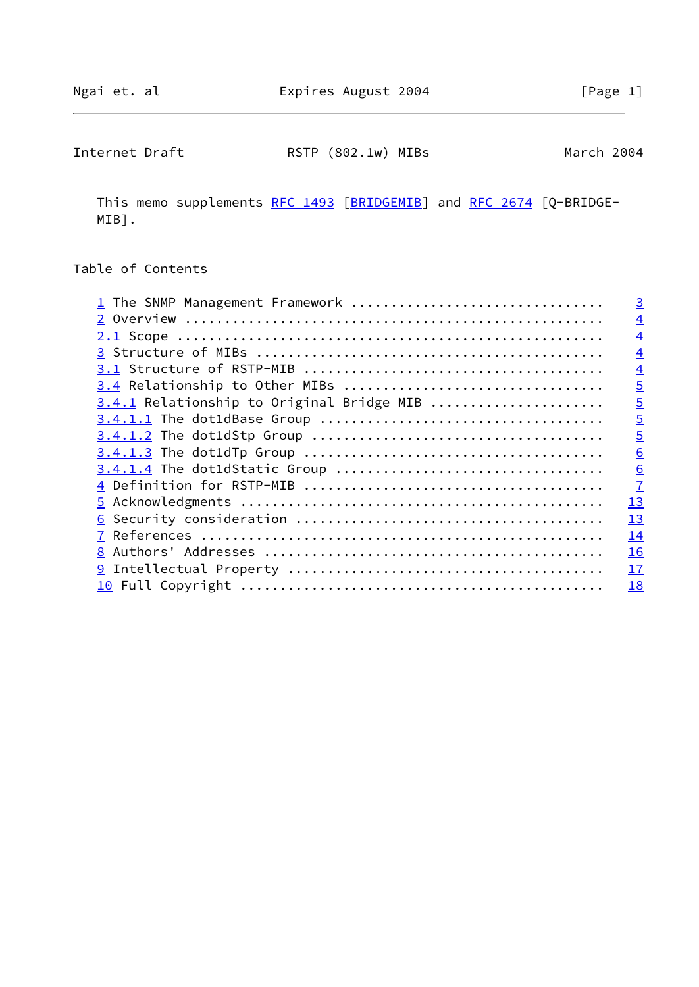Internet Draft **RSTP** (802.1w) MIBs March 2004

This memo supplements [RFC 1493](https://datatracker.ietf.org/doc/pdf/rfc1493) [\[BRIDGEMIB](#page-16-2)] and [RFC 2674](https://datatracker.ietf.org/doc/pdf/rfc2674) [Q-BRIDGE-MIB].

# Table of Contents

| 1 The SNMP Management Framework           | $\overline{3}$ |
|-------------------------------------------|----------------|
|                                           | $\overline{4}$ |
|                                           | $\overline{4}$ |
|                                           | $\overline{4}$ |
|                                           | $\overline{4}$ |
| 3.4 Relationship to Other MIBs            | $\overline{5}$ |
| 3.4.1 Relationship to Original Bridge MIB | $\overline{5}$ |
|                                           | $\overline{5}$ |
|                                           | $\overline{5}$ |
|                                           | 6              |
|                                           | 6              |
|                                           | $\overline{1}$ |
|                                           | 13             |
|                                           | 13             |
|                                           | 14             |
|                                           | 16             |
|                                           | 17             |
|                                           | 18             |
|                                           |                |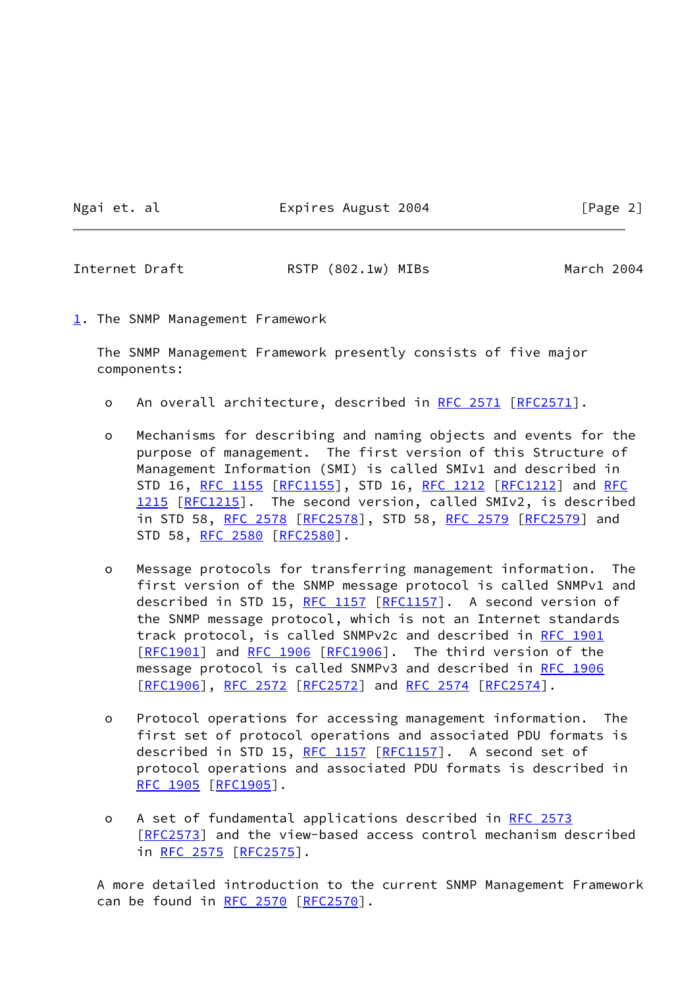Ngai et. al Expires August 2004 [Page 2]

<span id="page-2-1"></span>Internet Draft **RSTP** (802.1w) MIBs March 2004

<span id="page-2-0"></span>[1](#page-2-0). The SNMP Management Framework

 The SNMP Management Framework presently consists of five major components:

- o An overall architecture, described in [RFC 2571 \[RFC2571](https://datatracker.ietf.org/doc/pdf/rfc2571)].
- o Mechanisms for describing and naming objects and events for the purpose of management. The first version of this Structure of Management Information (SMI) is called SMIv1 and described in STD 16, [RFC 1155](https://datatracker.ietf.org/doc/pdf/rfc1155) [[RFC1155](https://datatracker.ietf.org/doc/pdf/rfc1155)], STD 16, [RFC 1212](https://datatracker.ietf.org/doc/pdf/rfc1212) [[RFC1212](https://datatracker.ietf.org/doc/pdf/rfc1212)] and [RFC](https://datatracker.ietf.org/doc/pdf/rfc1215) [1215](https://datatracker.ietf.org/doc/pdf/rfc1215) [[RFC1215](https://datatracker.ietf.org/doc/pdf/rfc1215)]. The second version, called SMIv2, is described in STD 58, [RFC 2578](https://datatracker.ietf.org/doc/pdf/rfc2578) [\[RFC2578](https://datatracker.ietf.org/doc/pdf/rfc2578)], STD 58, [RFC 2579 \[RFC2579](https://datatracker.ietf.org/doc/pdf/rfc2579)] and STD 58, [RFC 2580](https://datatracker.ietf.org/doc/pdf/rfc2580) [[RFC2580](https://datatracker.ietf.org/doc/pdf/rfc2580)].
- o Message protocols for transferring management information. The first version of the SNMP message protocol is called SNMPv1 and described in STD 15, [RFC 1157](https://datatracker.ietf.org/doc/pdf/rfc1157) [[RFC1157\]](https://datatracker.ietf.org/doc/pdf/rfc1157). A second version of the SNMP message protocol, which is not an Internet standards track protocol, is called SNMPv2c and described in [RFC 1901](https://datatracker.ietf.org/doc/pdf/rfc1901) [\[RFC1901](https://datatracker.ietf.org/doc/pdf/rfc1901)] and [RFC 1906 \[RFC1906](https://datatracker.ietf.org/doc/pdf/rfc1906)]. The third version of the message protocol is called SNMPv3 and described in [RFC 1906](https://datatracker.ietf.org/doc/pdf/rfc1906) [\[RFC1906](https://datatracker.ietf.org/doc/pdf/rfc1906)], [RFC 2572](https://datatracker.ietf.org/doc/pdf/rfc2572) [\[RFC2572](https://datatracker.ietf.org/doc/pdf/rfc2572)] and [RFC 2574 \[RFC2574](https://datatracker.ietf.org/doc/pdf/rfc2574)].
- o Protocol operations for accessing management information. The first set of protocol operations and associated PDU formats is described in STD 15, [RFC 1157](https://datatracker.ietf.org/doc/pdf/rfc1157) [[RFC1157\]](https://datatracker.ietf.org/doc/pdf/rfc1157). A second set of protocol operations and associated PDU formats is described in [RFC 1905](https://datatracker.ietf.org/doc/pdf/rfc1905) [[RFC1905](https://datatracker.ietf.org/doc/pdf/rfc1905)].
- o A set of fundamental applications described in [RFC 2573](https://datatracker.ietf.org/doc/pdf/rfc2573) [\[RFC2573](https://datatracker.ietf.org/doc/pdf/rfc2573)] and the view-based access control mechanism described in [RFC 2575](https://datatracker.ietf.org/doc/pdf/rfc2575) [\[RFC2575](https://datatracker.ietf.org/doc/pdf/rfc2575)].

 A more detailed introduction to the current SNMP Management Framework can be found in [RFC 2570](https://datatracker.ietf.org/doc/pdf/rfc2570) [\[RFC2570](https://datatracker.ietf.org/doc/pdf/rfc2570)].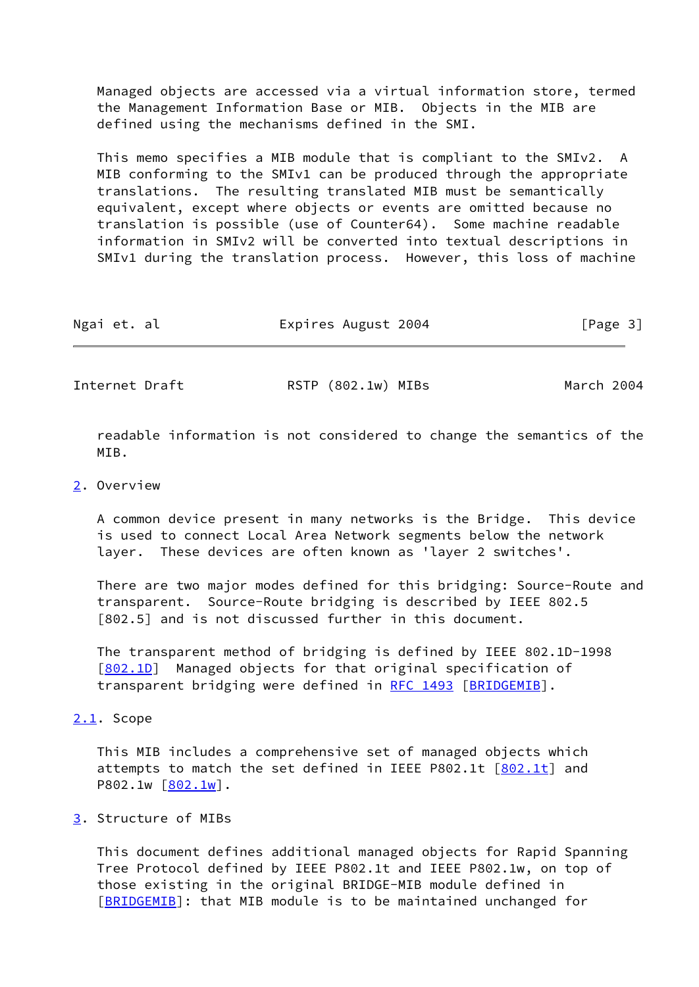Managed objects are accessed via a virtual information store, termed the Management Information Base or MIB. Objects in the MIB are defined using the mechanisms defined in the SMI.

 This memo specifies a MIB module that is compliant to the SMIv2. A MIB conforming to the SMIv1 can be produced through the appropriate translations. The resulting translated MIB must be semantically equivalent, except where objects or events are omitted because no translation is possible (use of Counter64). Some machine readable information in SMIv2 will be converted into textual descriptions in SMIv1 during the translation process. However, this loss of machine

| [Page 3]<br>Ngai et. al |  |  |  | Expires August 2004 |  |  |
|-------------------------|--|--|--|---------------------|--|--|
|-------------------------|--|--|--|---------------------|--|--|

<span id="page-3-1"></span>Internet Draft **RSTP** (802.1w) MIBs March 2004

 readable information is not considered to change the semantics of the MTR.

#### <span id="page-3-0"></span>[2](#page-3-0). Overview

 A common device present in many networks is the Bridge. This device is used to connect Local Area Network segments below the network layer. These devices are often known as 'layer 2 switches'.

 There are two major modes defined for this bridging: Source-Route and transparent. Source-Route bridging is described by IEEE 802.5 [802.5] and is not discussed further in this document.

 The transparent method of bridging is defined by IEEE 802.1D-1998 [\[802.1D](#page-16-3)] Managed objects for that original specification of transparent bridging were defined in [RFC 1493](https://datatracker.ietf.org/doc/pdf/rfc1493) [[BRIDGEMIB\]](#page-16-2).

### <span id="page-3-2"></span>[2.1](#page-3-2). Scope

 This MIB includes a comprehensive set of managed objects which attempts to match the set defined in IEEE P[802.1t](#page-16-0)  $[802.1t]$  and  $P802.1w [\underline{802.1w}]$ .

# <span id="page-3-3"></span>[3](#page-3-3). Structure of MIBs

 This document defines additional managed objects for Rapid Spanning Tree Protocol defined by IEEE P802.1t and IEEE P802.1w, on top of those existing in the original BRIDGE-MIB module defined in [\[BRIDGEMIB](#page-16-2)]: that MIB module is to be maintained unchanged for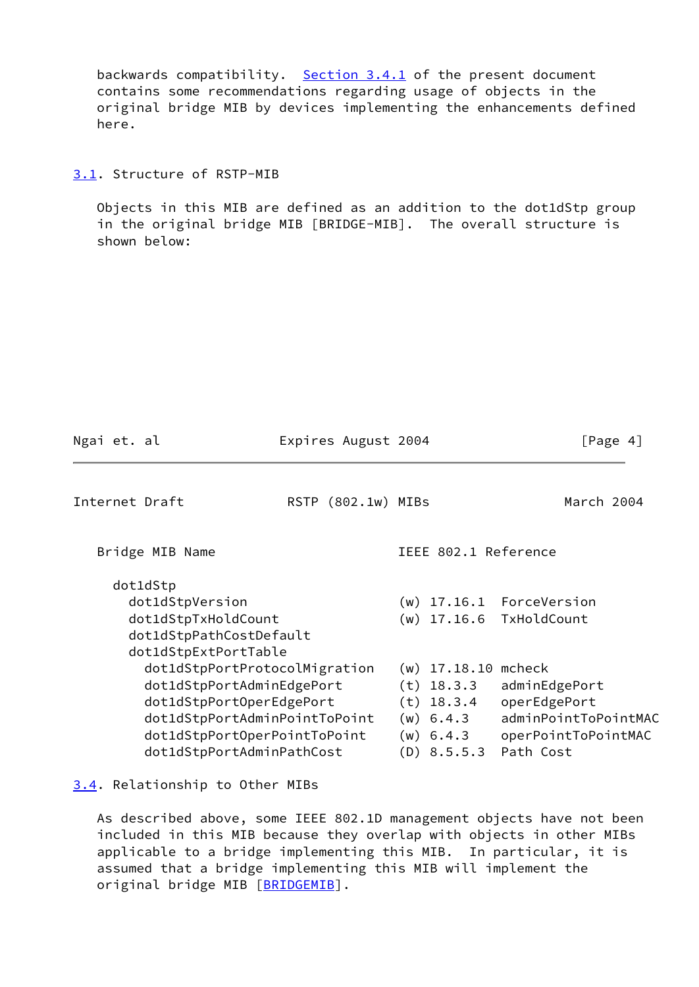backwards compatibility. [Section 3.4.1](#page-5-0) of the present document contains some recommendations regarding usage of objects in the original bridge MIB by devices implementing the enhancements defined here.

<span id="page-4-0"></span>[3.1](#page-4-0). Structure of RSTP-MIB

 Objects in this MIB are defined as an addition to the dot1dStp group in the original bridge MIB [BRIDGE-MIB]. The overall structure is shown below:

<span id="page-4-2"></span>

| Ngai et. al                                                                                                                                                                          | Expires August 2004 |                                                                                               | [Page 4]                                                                                            |
|--------------------------------------------------------------------------------------------------------------------------------------------------------------------------------------|---------------------|-----------------------------------------------------------------------------------------------|-----------------------------------------------------------------------------------------------------|
| Internet Draft                                                                                                                                                                       | RSTP (802.1w) MIBs  |                                                                                               | March 2004                                                                                          |
| Bridge MIB Name                                                                                                                                                                      |                     | IEEE 802.1 Reference                                                                          |                                                                                                     |
| dot1dStp<br>dot1dStpVersion<br>dot1dStpTxHoldCount<br>dot1dStpPathCostDefault<br>dot1dStpExtPortTable                                                                                |                     |                                                                                               | $(w)$ 17.16.1 ForceVersion<br>(w) 17.16.6 TxHoldCount                                               |
| dot1dStpPortProtocolMigration<br>dot1dStpPortAdminEdgePort<br>dot1dStpPortOperEdgePort<br>dot1dStpPortAdminPointToPoint<br>dot1dStpPortOperPointToPoint<br>dot1dStpPortAdminPathCost |                     | $(w)$ 17.18.10<br>$(t)$ 18.3.3<br>$(t)$ 18.3.4<br>$(w)$ 6.4.3<br>$(w)$ 6.4.3<br>$(D)$ 8.5.5.3 | mcheck<br>adminEdgePort<br>operEdgePort<br>adminPointToPointMAC<br>operPointToPointMAC<br>Path Cost |

# <span id="page-4-1"></span>[3.4](#page-4-1). Relationship to Other MIBs

 As described above, some IEEE 802.1D management objects have not been included in this MIB because they overlap with objects in other MIBs applicable to a bridge implementing this MIB. In particular, it is assumed that a bridge implementing this MIB will implement the original bridge MIB [\[BRIDGEMIB](#page-16-2)].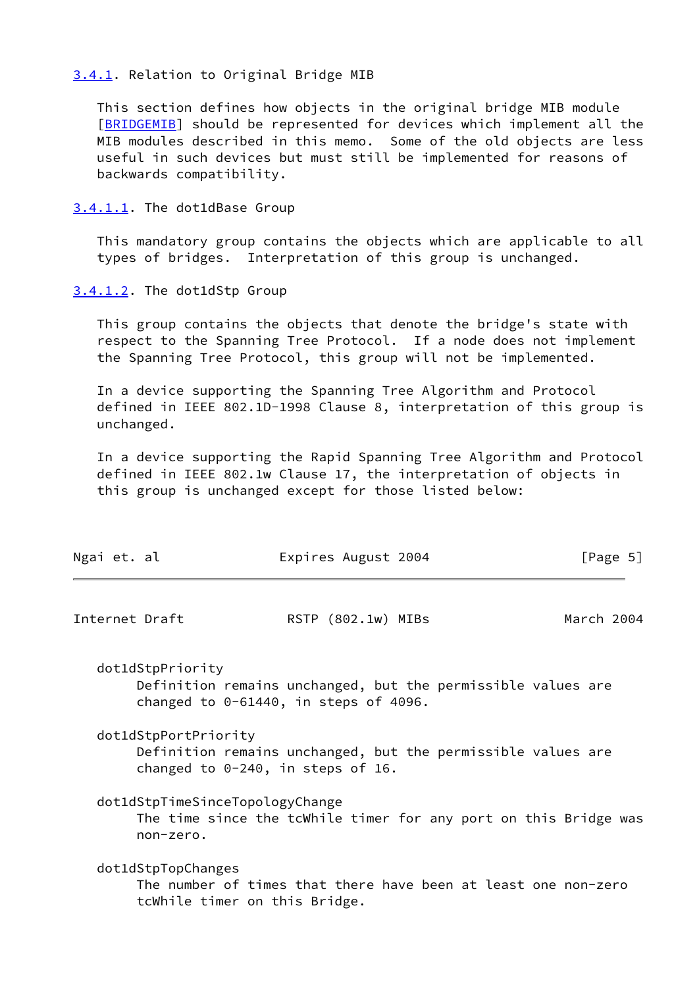### <span id="page-5-0"></span>[3.4.1](#page-5-0). Relation to Original Bridge MIB

 This section defines how objects in the original bridge MIB module [\[BRIDGEMIB](#page-16-2)] should be represented for devices which implement all the MIB modules described in this memo. Some of the old objects are less useful in such devices but must still be implemented for reasons of backwards compatibility.

<span id="page-5-1"></span>[3.4.1.1](#page-5-1). The dot1dBase Group

 This mandatory group contains the objects which are applicable to all types of bridges. Interpretation of this group is unchanged.

<span id="page-5-2"></span>[3.4.1.2](#page-5-2). The dot1dStp Group

 This group contains the objects that denote the bridge's state with respect to the Spanning Tree Protocol. If a node does not implement the Spanning Tree Protocol, this group will not be implemented.

 In a device supporting the Spanning Tree Algorithm and Protocol defined in IEEE 802.1D-1998 Clause 8, interpretation of this group is unchanged.

 In a device supporting the Rapid Spanning Tree Algorithm and Protocol defined in IEEE 802.1w Clause 17, the interpretation of objects in this group is unchanged except for those listed below:

<span id="page-5-3"></span>

| Ngai et. al    |                                                                                                                              |  | Expires August 2004 |  | [Page 5]   |  |
|----------------|------------------------------------------------------------------------------------------------------------------------------|--|---------------------|--|------------|--|
| Internet Draft |                                                                                                                              |  | RSTP (802.1w) MIBs  |  | March 2004 |  |
|                | dot1dStpPriority<br>Definition remains unchanged, but the permissible values are<br>changed to $0-61440$ , in steps of 4096. |  |                     |  |            |  |
|                | dot1dStpPortPriority<br>Definition remains unchanged, but the permissible values are<br>changed to $0-240$ , in steps of 16. |  |                     |  |            |  |
|                | dot1dStpTimeSinceTopologyChange<br>The time since the tcWhile timer for any port on this Bridge was<br>non-zero.             |  |                     |  |            |  |
|                | dot1dStpTopChanges<br>The number of times that there have been at least one non-zero<br>tcWhile timer on this Bridge.        |  |                     |  |            |  |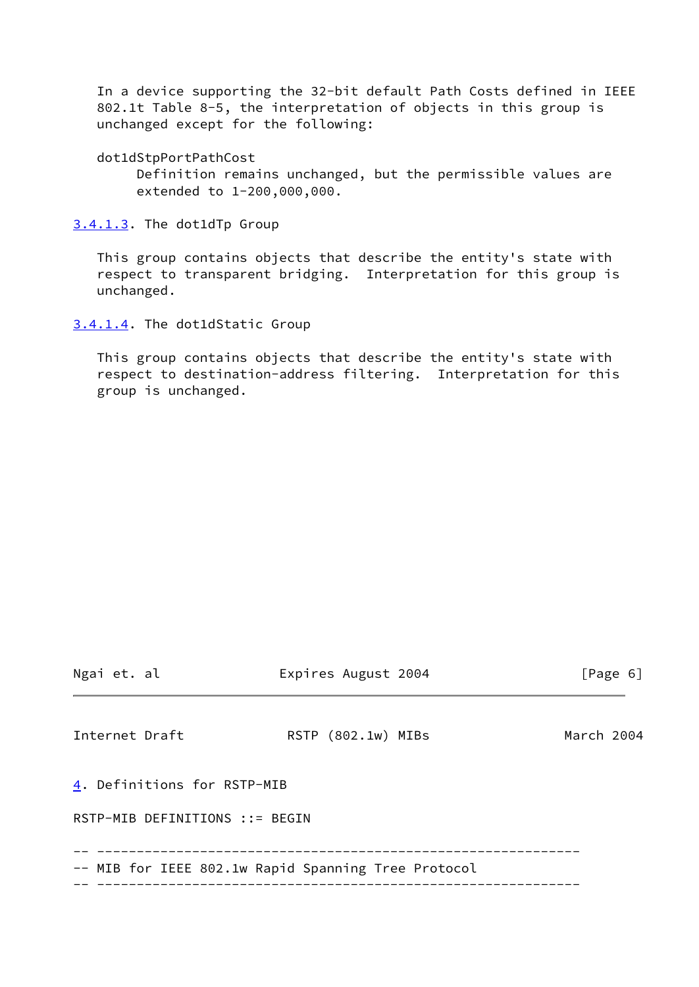In a device supporting the 32-bit default Path Costs defined in IEEE 802.1t Table 8-5, the interpretation of objects in this group is unchanged except for the following:

dot1dStpPortPathCost

 Definition remains unchanged, but the permissible values are extended to 1-200,000,000.

<span id="page-6-0"></span>[3.4.1.3](#page-6-0). The dot1dTp Group

 This group contains objects that describe the entity's state with respect to transparent bridging. Interpretation for this group is unchanged.

<span id="page-6-1"></span>[3.4.1.4](#page-6-1). The dot1dStatic Group

 This group contains objects that describe the entity's state with respect to destination-address filtering. Interpretation for this group is unchanged.

<span id="page-6-3"></span><span id="page-6-2"></span>

| Ngai et. al                    | Expires August 2004                                 | [Page 6]   |
|--------------------------------|-----------------------------------------------------|------------|
| Internet Draft                 | RSTP (802.1w) MIBs                                  | March 2004 |
| 4. Definitions for RSTP-MIB    |                                                     |            |
| RSTP-MIB DEFINITIONS ::= BEGIN |                                                     |            |
|                                | -- MIB for IEEE 802.1w Rapid Spanning Tree Protocol |            |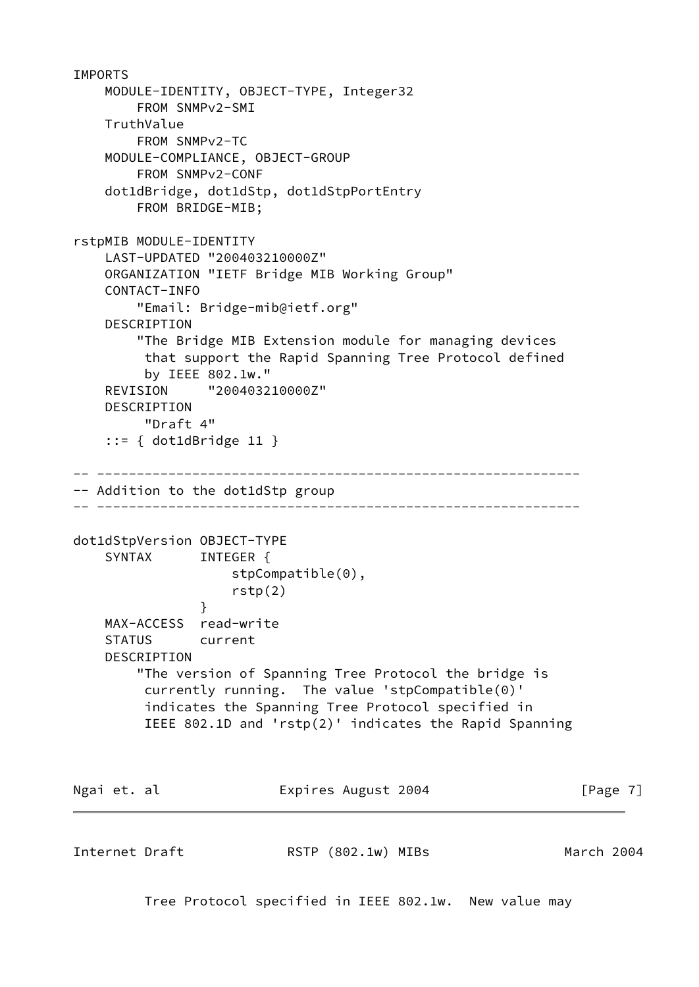```
IMPORTS
    MODULE-IDENTITY, OBJECT-TYPE, Integer32
        FROM SNMPv2-SMI
    TruthValue
        FROM SNMPv2-TC
    MODULE-COMPLIANCE, OBJECT-GROUP
        FROM SNMPv2-CONF
    dot1dBridge, dot1dStp, dot1dStpPortEntry
        FROM BRIDGE-MIB;
rstpMIB MODULE-IDENTITY
    LAST-UPDATED "200403210000Z"
    ORGANIZATION "IETF Bridge MIB Working Group"
    CONTACT-INFO
        "Email: Bridge-mib@ietf.org"
    DESCRIPTION
        "The Bridge MIB Extension module for managing devices
         that support the Rapid Spanning Tree Protocol defined
         by IEEE 802.1w."
    REVISION "200403210000Z"
    DESCRIPTION
         "Draft 4"
     ::= { dot1dBridge 11 }
-- -------------------------------------------------------------
-- Addition to the dot1dStp group
-- -------------------------------------------------------------
dot1dStpVersion OBJECT-TYPE
   SYNTAX INTEGER {
                    stpCompatible(0),
                    rstp(2)
 }
    MAX-ACCESS read-write
    STATUS current
    DESCRIPTION
        "The version of Spanning Tree Protocol the bridge is
         currently running. The value 'stpCompatible(0)'
         indicates the Spanning Tree Protocol specified in
         IEEE 802.1D and 'rstp(2)' indicates the Rapid Spanning
Ngai et. al Expires August 2004 [Page 7]
Internet Draft RSTP (802.1w) MIBs March 2004
```
Tree Protocol specified in IEEE 802.1w. New value may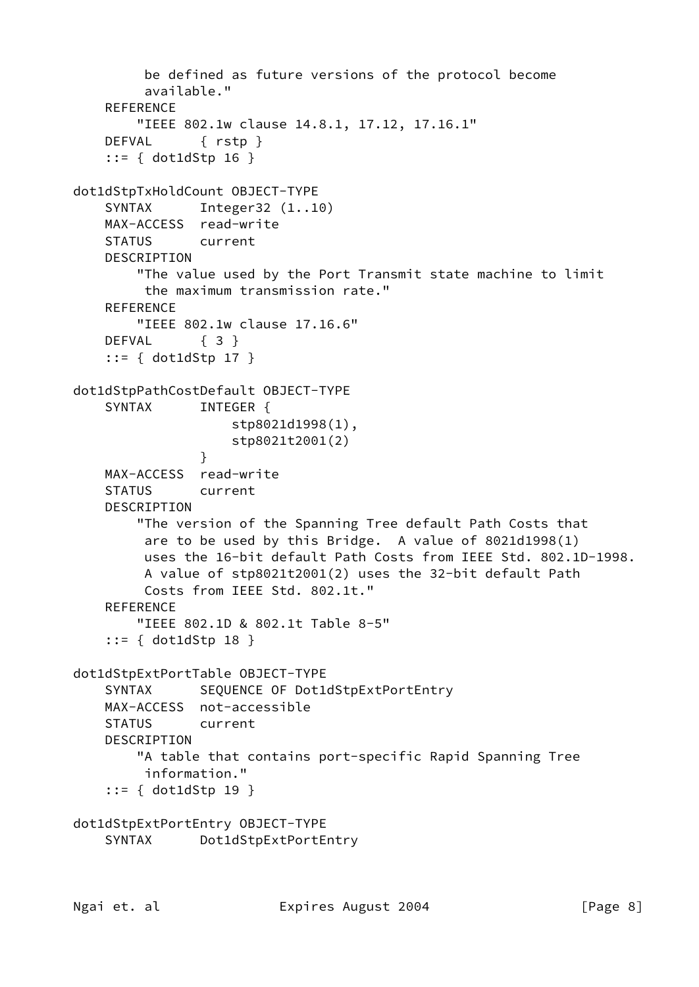```
 be defined as future versions of the protocol become
          available."
     REFERENCE
         "IEEE 802.1w clause 14.8.1, 17.12, 17.16.1"
     DEFVAL { rstp }
     ::= { dot1dStp 16 }
dot1dStpTxHoldCount OBJECT-TYPE
    SYNTAX Integer32 (1..10)
    MAX-ACCESS read-write
     STATUS current
    DESCRIPTION
         "The value used by the Port Transmit state machine to limit
         the maximum transmission rate."
     REFERENCE
         "IEEE 802.1w clause 17.16.6"
    DEFVAL { 3 }
     ::= { dot1dStp 17 }
dot1dStpPathCostDefault OBJECT-TYPE
    SYNTAX INTEGER {
                     stp8021d1998(1),
                    stp8021t2001(2)
 }
    MAX-ACCESS read-write
     STATUS current
     DESCRIPTION
         "The version of the Spanning Tree default Path Costs that
         are to be used by this Bridge. A value of 8021d1998(1)
         uses the 16-bit default Path Costs from IEEE Std. 802.1D-1998.
         A value of stp8021t2001(2) uses the 32-bit default Path
         Costs from IEEE Std. 802.1t."
    REFERENCE
         "IEEE 802.1D & 802.1t Table 8-5"
     ::= { dot1dStp 18 }
dot1dStpExtPortTable OBJECT-TYPE
    SYNTAX SEQUENCE OF Dot1dStpExtPortEntry
    MAX-ACCESS not-accessible
    STATUS current
    DESCRIPTION
         "A table that contains port-specific Rapid Spanning Tree
         information."
     ::= { dot1dStp 19 }
dot1dStpExtPortEntry OBJECT-TYPE
     SYNTAX Dot1dStpExtPortEntry
```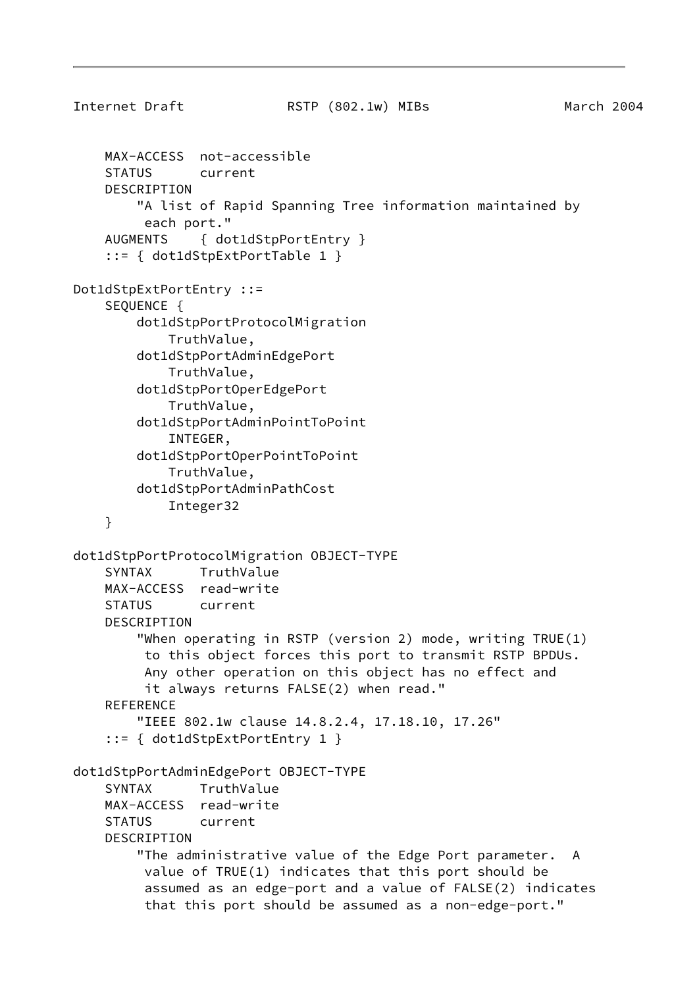```
Internet Draft RSTP (802.1w) MIBs March 2004
     MAX-ACCESS not-accessible
     STATUS current
     DESCRIPTION
         "A list of Rapid Spanning Tree information maintained by
          each port."
     AUGMENTS { dot1dStpPortEntry }
     ::= { dot1dStpExtPortTable 1 }
Dot1dStpExtPortEntry ::=
     SEQUENCE {
         dot1dStpPortProtocolMigration
             TruthValue,
         dot1dStpPortAdminEdgePort
             TruthValue,
         dot1dStpPortOperEdgePort
             TruthValue,
         dot1dStpPortAdminPointToPoint
             INTEGER,
         dot1dStpPortOperPointToPoint
             TruthValue,
         dot1dStpPortAdminPathCost
             Integer32
     }
dot1dStpPortProtocolMigration OBJECT-TYPE
     SYNTAX TruthValue
     MAX-ACCESS read-write
     STATUS current
     DESCRIPTION
         "When operating in RSTP (version 2) mode, writing TRUE(1)
          to this object forces this port to transmit RSTP BPDUs.
          Any other operation on this object has no effect and
          it always returns FALSE(2) when read."
    REFERENCE
         "IEEE 802.1w clause 14.8.2.4, 17.18.10, 17.26"
     ::= { dot1dStpExtPortEntry 1 }
dot1dStpPortAdminEdgePort OBJECT-TYPE
     SYNTAX TruthValue
     MAX-ACCESS read-write
     STATUS current
     DESCRIPTION
         "The administrative value of the Edge Port parameter. A
          value of TRUE(1) indicates that this port should be
          assumed as an edge-port and a value of FALSE(2) indicates
          that this port should be assumed as a non-edge-port."
```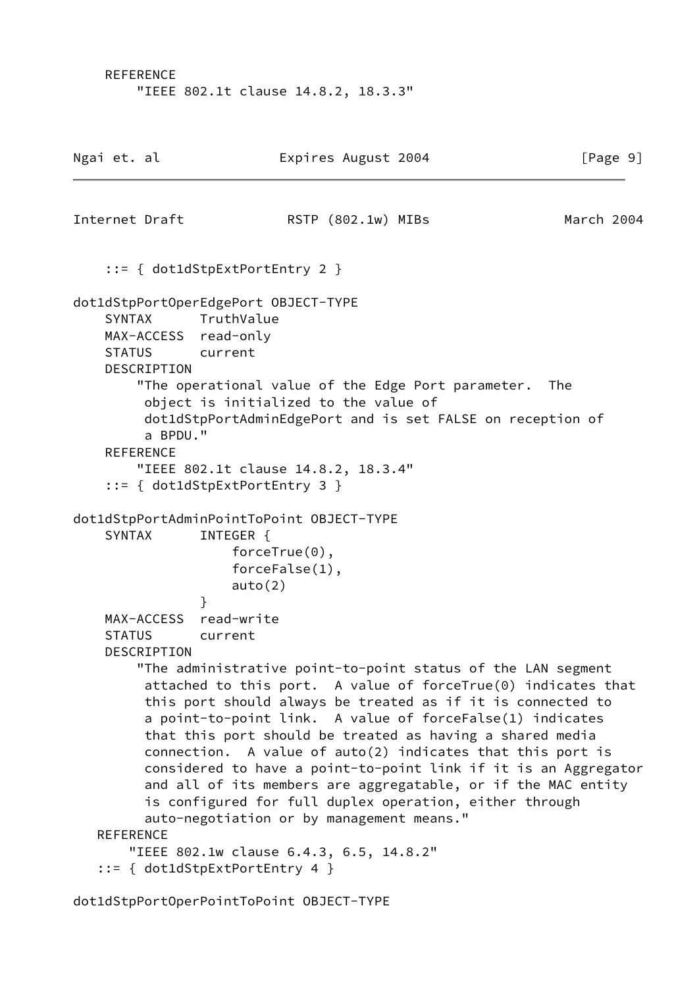REFERENCE "IEEE 802.1t clause 14.8.2, 18.3.3"

| Ngai et. al |                                |                                             | Expires August 2004                                                                                                                                                                                                                                                                                                                                                                                                                                                                                                                                                                                                                                                                                                | [Page 9]   |
|-------------|--------------------------------|---------------------------------------------|--------------------------------------------------------------------------------------------------------------------------------------------------------------------------------------------------------------------------------------------------------------------------------------------------------------------------------------------------------------------------------------------------------------------------------------------------------------------------------------------------------------------------------------------------------------------------------------------------------------------------------------------------------------------------------------------------------------------|------------|
|             |                                | Internet Draft                              | RSTP (802.1w) MIBs                                                                                                                                                                                                                                                                                                                                                                                                                                                                                                                                                                                                                                                                                                 | March 2004 |
|             |                                |                                             | $::= \{ dot1dStepExtPortEntry 2 \}$                                                                                                                                                                                                                                                                                                                                                                                                                                                                                                                                                                                                                                                                                |            |
|             | SYNTAX<br><b>STATUS</b>        | DESCRIPTION<br>a BPDU."<br><b>REFERENCE</b> | dot1dStpPortOperEdgePort OBJECT-TYPE<br>TruthValue<br>MAX-ACCESS read-only<br>current<br>"The operational value of the Edge Port parameter.<br>object is initialized to the value of<br>dot1dStpPortAdminEdgePort and is set FALSE on reception of<br>"IEEE 802.1t clause 14.8.2, 18.3.4"<br>$::= \{ dot1dStepExtPortEntry 3 \}$                                                                                                                                                                                                                                                                                                                                                                                   | The        |
|             |                                |                                             | dot1dStpPortAdminPointToPoint OBJECT-TYPE                                                                                                                                                                                                                                                                                                                                                                                                                                                                                                                                                                                                                                                                          |            |
|             | <b>SYNTAX</b><br><b>STATUS</b> |                                             | INTEGER {<br>$forceTrue(0)$ ,<br>$forceFalse(1)$ ,<br>auto(2)<br>ł<br>MAX-ACCESS read-write<br>current                                                                                                                                                                                                                                                                                                                                                                                                                                                                                                                                                                                                             |            |
|             | <b>REFERENCE</b>               | DESCRIPTION                                 | "The administrative point-to-point status of the LAN segment<br>attached to this port. A value of forceTrue(0) indicates that<br>this port should always be treated as if it is connected to<br>a point-to-point link. A value of forceFalse(1) indicates<br>that this port should be treated as having a shared media<br>connection. A value of auto(2) indicates that this port is<br>considered to have a point-to-point link if it is an Aggregator<br>and all of its members are aggregatable, or if the MAC entity<br>is configured for full duplex operation, either through<br>auto-negotiation or by management means."<br>"IEEE 802.1w clause 6.4.3, 6.5, 14.8.2"<br>$::= \{ dot1dStepExtPortEntry 4 \}$ |            |

dot1dStpPortOperPointToPoint OBJECT-TYPE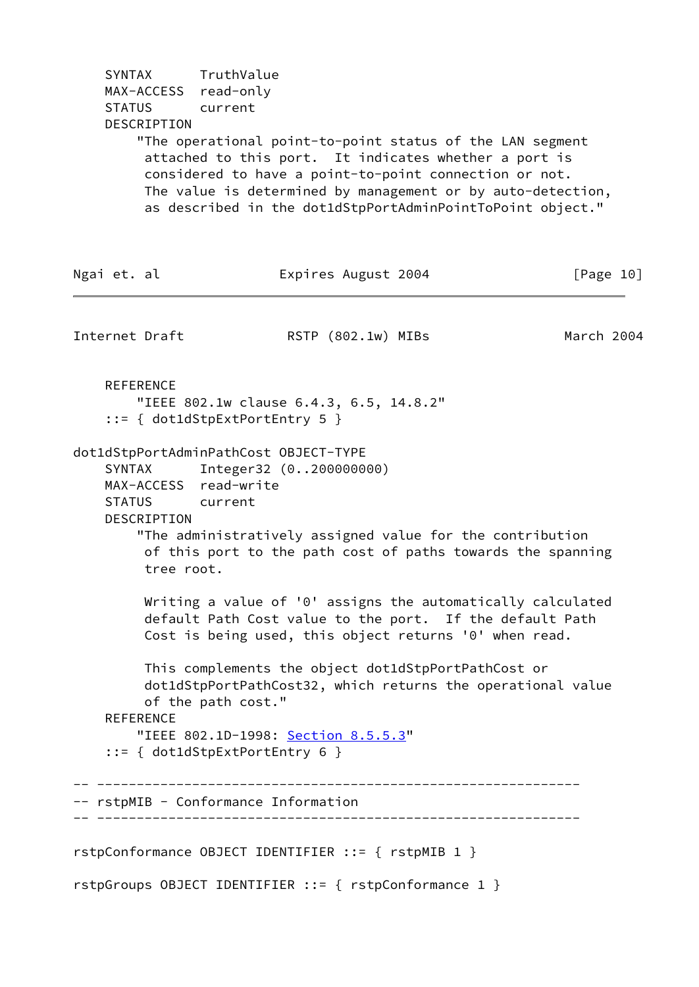SYNTAX TruthValue MAX-ACCESS read-only STATUS current DESCRIPTION "The operational point-to-point status of the LAN segment attached to this port. It indicates whether a port is considered to have a point-to-point connection or not. The value is determined by management or by auto-detection, as described in the dot1dStpPortAdminPointToPoint object." Ngai et. al  $\qquad \qquad$  Expires August 2004  $[Page 10]$ Internet Draft **RSTP** (802.1w) MIBs March 2004 **REFERENCE**  "IEEE 802.1w clause 6.4.3, 6.5, 14.8.2" ::= { dot1dStpExtPortEntry 5 } dot1dStpPortAdminPathCost OBJECT-TYPE SYNTAX Integer32 (0..200000000) MAX-ACCESS read-write STATUS current DESCRIPTION "The administratively assigned value for the contribution of this port to the path cost of paths towards the spanning tree root. Writing a value of '0' assigns the automatically calculated default Path Cost value to the port. If the default Path Cost is being used, this object returns '0' when read. This complements the object dot1dStpPortPathCost or dot1dStpPortPathCost32, which returns the operational value of the path cost." REFERENCE "IEEE 802.1D-1998: Section 8.5.5.3" ::= { dot1dStpExtPortEntry 6 } -- ------------------------------------------------------------- -- rstpMIB - Conformance Information -- ------------------------------------------------------------ rstpConformance OBJECT IDENTIFIER ::= { rstpMIB 1 }

rstpGroups OBJECT IDENTIFIER ::= { rstpConformance 1 }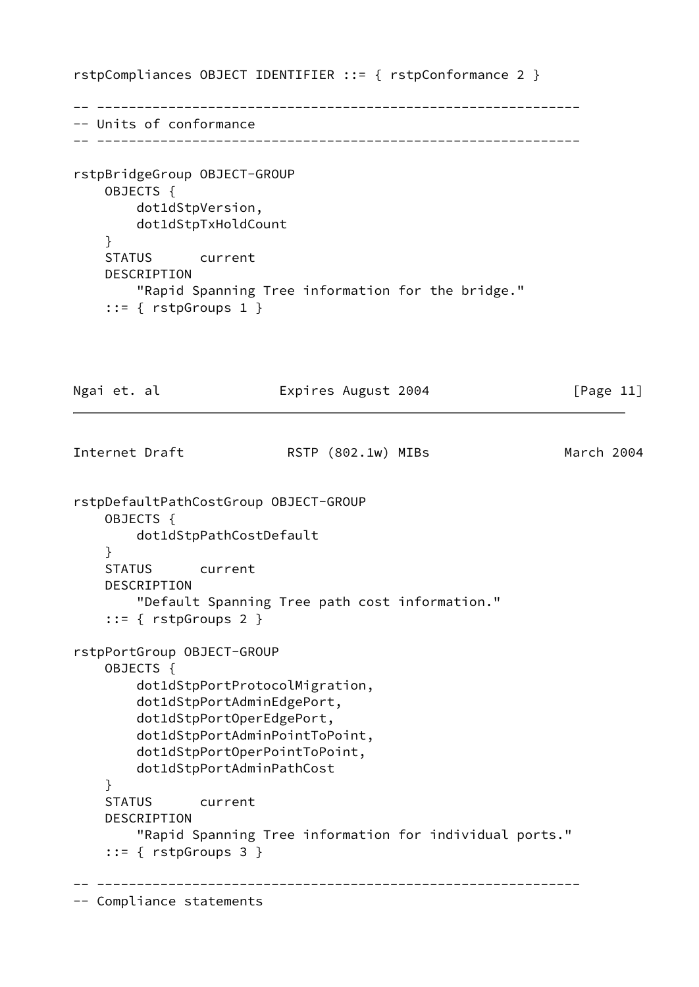rstpCompliances OBJECT IDENTIFIER ::= { rstpConformance 2 }

-- ------------------------------------------------------------- -- Units of conformance -- -------------------------------------------------------------

rstpBridgeGroup OBJECT-GROUP OBJECTS { dot1dStpVersion, dot1dStpTxHoldCount } STATUS current DESCRIPTION "Rapid Spanning Tree information for the bridge." ::= { rstpGroups 1 }

Ngai et. al **Expires August 2004** [Page 11] Internet Draft **RSTP** (802.1w) MIBs March 2004 rstpDefaultPathCostGroup OBJECT-GROUP OBJECTS { dot1dStpPathCostDefault } STATUS current DESCRIPTION "Default Spanning Tree path cost information." ::= { rstpGroups 2 } rstpPortGroup OBJECT-GROUP OBJECTS { dot1dStpPortProtocolMigration, dot1dStpPortAdminEdgePort, dot1dStpPortOperEdgePort, dot1dStpPortAdminPointToPoint, dot1dStpPortOperPointToPoint, dot1dStpPortAdminPathCost } STATUS current DESCRIPTION "Rapid Spanning Tree information for individual ports."  $::=$  { rstpGroups 3 } -- -------------------------------------------------------------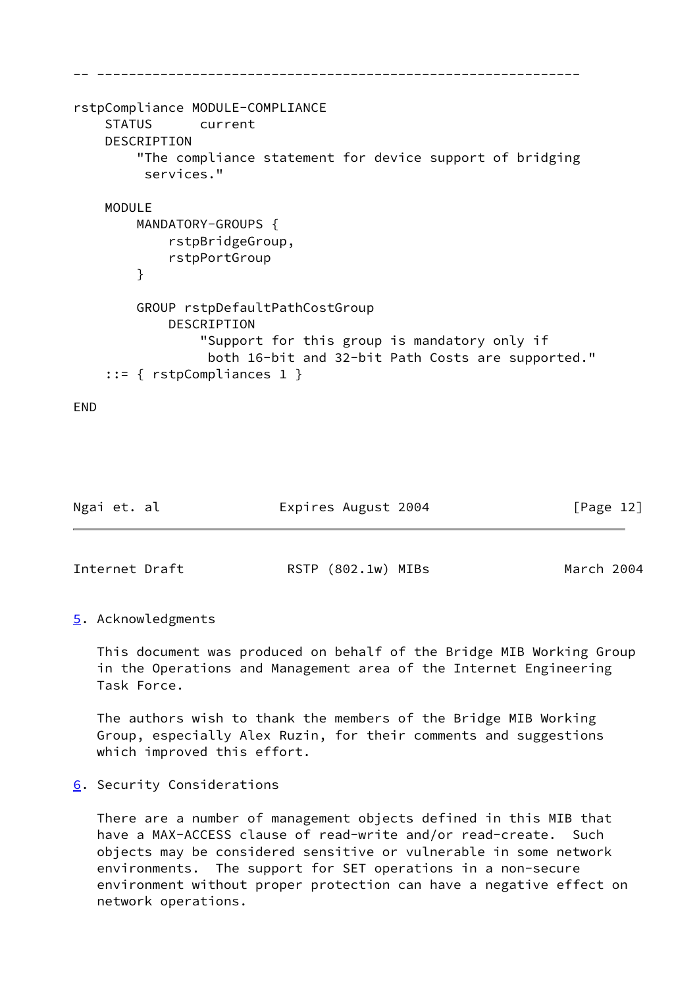```
-- -------------------------------------------------------------
rstpCompliance MODULE-COMPLIANCE
    STATUS current
    DESCRIPTION
         "The compliance statement for device support of bridging
          services."
    MODULE
         MANDATORY-GROUPS {
             rstpBridgeGroup,
             rstpPortGroup
         }
         GROUP rstpDefaultPathCostGroup
             DESCRIPTION
                 "Support for this group is mandatory only if
                  both 16-bit and 32-bit Path Costs are supported."
     ::= { rstpCompliances 1 }
```
END

<span id="page-13-1"></span>

| Ngai et. al    | Expires August 2004 | [Page 12]  |
|----------------|---------------------|------------|
|                |                     |            |
| Internet Draft | RSTP (802.1w) MIBs  | March 2004 |

# <span id="page-13-0"></span>[5](#page-13-0). Acknowledgments

 This document was produced on behalf of the Bridge MIB Working Group in the Operations and Management area of the Internet Engineering Task Force.

 The authors wish to thank the members of the Bridge MIB Working Group, especially Alex Ruzin, for their comments and suggestions which improved this effort.

# <span id="page-13-2"></span>[6](#page-13-2). Security Considerations

 There are a number of management objects defined in this MIB that have a MAX-ACCESS clause of read-write and/or read-create. Such objects may be considered sensitive or vulnerable in some network environments. The support for SET operations in a non-secure environment without proper protection can have a negative effect on network operations.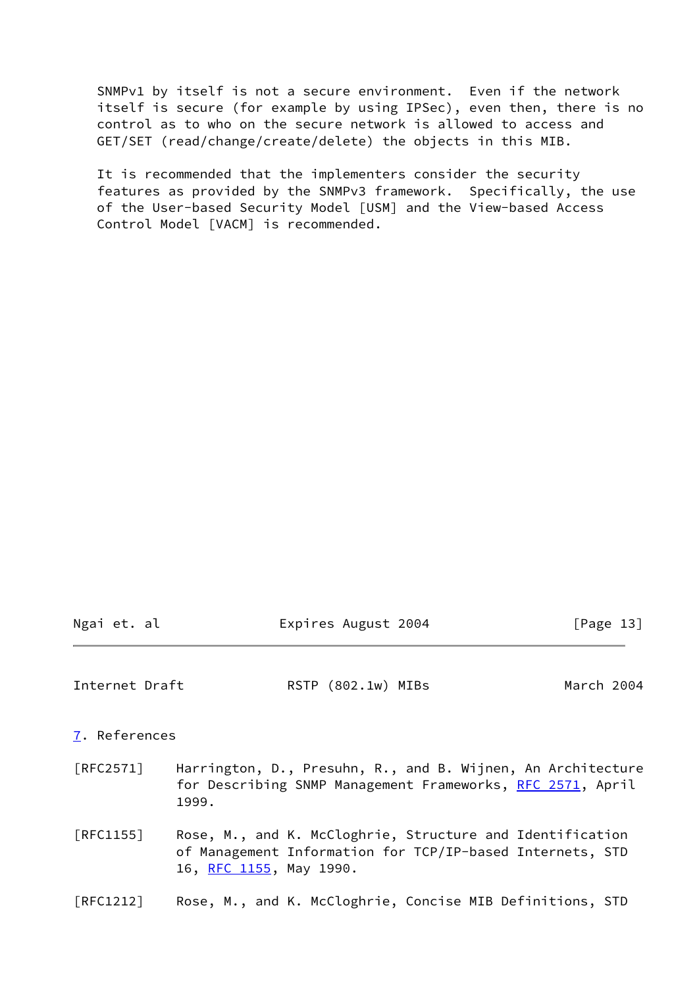SNMPv1 by itself is not a secure environment. Even if the network itself is secure (for example by using IPSec), even then, there is no control as to who on the secure network is allowed to access and GET/SET (read/change/create/delete) the objects in this MIB.

 It is recommended that the implementers consider the security features as provided by the SNMPv3 framework. Specifically, the use of the User-based Security Model [USM] and the View-based Access Control Model [VACM] is recommended.

<span id="page-14-1"></span><span id="page-14-0"></span>

| Internet Draft    |                         | RSTP (802.1w) MIBs | March 2004                                                                                                                |
|-------------------|-------------------------|--------------------|---------------------------------------------------------------------------------------------------------------------------|
| 7. References     |                         |                    |                                                                                                                           |
| [RFC2571]         | 1999.                   |                    | Harrington, D., Presuhn, R., and B. Wijnen, An Architecture<br>for Describing SNMP Management Frameworks, RFC 2571, April |
| $\lceil$ RFC1155] | 16, RFC 1155, May 1990. |                    | Rose, M., and K. McCloghrie, Structure and Identification<br>of Management Information for TCP/IP-based Internets, STD    |
| [RFC1212]         |                         |                    | Rose, M., and K. McCloghrie, Concise MIB Definitions, STD                                                                 |

Ngai et. al  $\qquad \qquad$  Expires August 2004 [Page 13]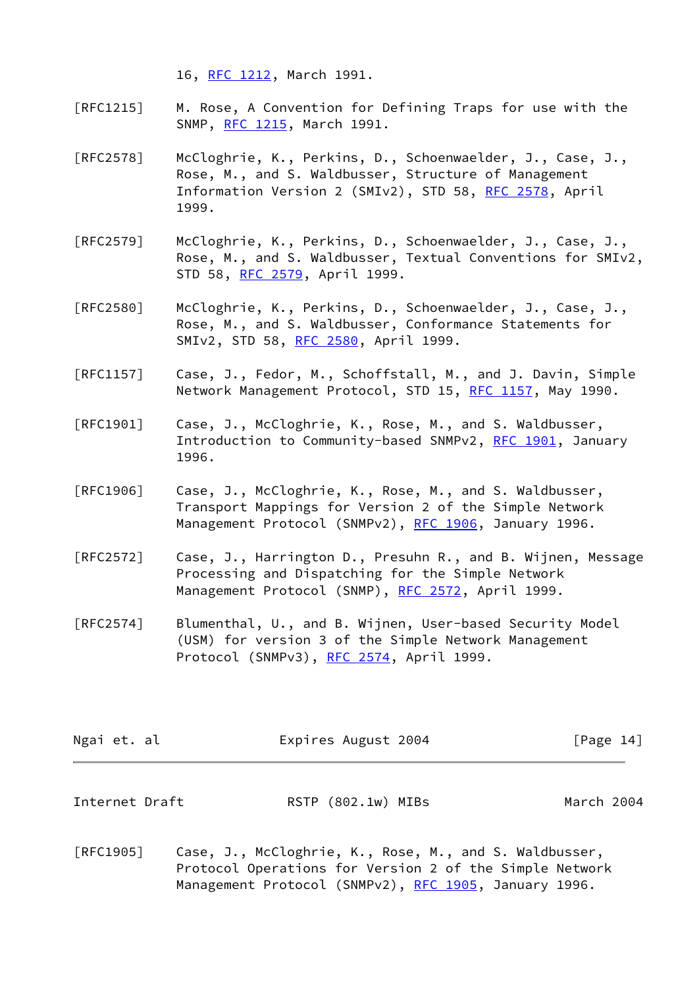16, [RFC 1212](https://datatracker.ietf.org/doc/pdf/rfc1212), March 1991.

- [RFC1215] M. Rose, A Convention for Defining Traps for use with the SNMP, [RFC 1215](https://datatracker.ietf.org/doc/pdf/rfc1215), March 1991.
- [RFC2578] McCloghrie, K., Perkins, D., Schoenwaelder, J., Case, J., Rose, M., and S. Waldbusser, Structure of Management Information Version 2 (SMIv2), STD 58, [RFC 2578](https://datatracker.ietf.org/doc/pdf/rfc2578), April 1999.
- [RFC2579] McCloghrie, K., Perkins, D., Schoenwaelder, J., Case, J., Rose, M., and S. Waldbusser, Textual Conventions for SMIv2, STD 58, [RFC 2579](https://datatracker.ietf.org/doc/pdf/rfc2579), April 1999.
- [RFC2580] McCloghrie, K., Perkins, D., Schoenwaelder, J., Case, J., Rose, M., and S. Waldbusser, Conformance Statements for SMIv2, STD 58, [RFC 2580](https://datatracker.ietf.org/doc/pdf/rfc2580), April 1999.
- [RFC1157] Case, J., Fedor, M., Schoffstall, M., and J. Davin, Simple Network Management Protocol, STD 15, [RFC 1157,](https://datatracker.ietf.org/doc/pdf/rfc1157) May 1990.
- [RFC1901] Case, J., McCloghrie, K., Rose, M., and S. Waldbusser, Introduction to Community-based SNMPv2, [RFC 1901](https://datatracker.ietf.org/doc/pdf/rfc1901), January 1996.
- [RFC1906] Case, J., McCloghrie, K., Rose, M., and S. Waldbusser, Transport Mappings for Version 2 of the Simple Network Management Protocol (SNMPv2), [RFC 1906](https://datatracker.ietf.org/doc/pdf/rfc1906), January 1996.
- [RFC2572] Case, J., Harrington D., Presuhn R., and B. Wijnen, Message Processing and Dispatching for the Simple Network Management Protocol (SNMP), [RFC 2572](https://datatracker.ietf.org/doc/pdf/rfc2572), April 1999.
- [RFC2574] Blumenthal, U., and B. Wijnen, User-based Security Model (USM) for version 3 of the Simple Network Management Protocol (SNMPv3), [RFC 2574](https://datatracker.ietf.org/doc/pdf/rfc2574), April 1999.

| Ngai et. al    | Expires August 2004 | [Page 14]  |
|----------------|---------------------|------------|
|                |                     |            |
| Internet Draft | RSTP (802.1w) MIBs  | March 2004 |

[RFC1905] Case, J., McCloghrie, K., Rose, M., and S. Waldbusser, Protocol Operations for Version 2 of the Simple Network Management Protocol (SNMPv2), [RFC 1905](https://datatracker.ietf.org/doc/pdf/rfc1905), January 1996.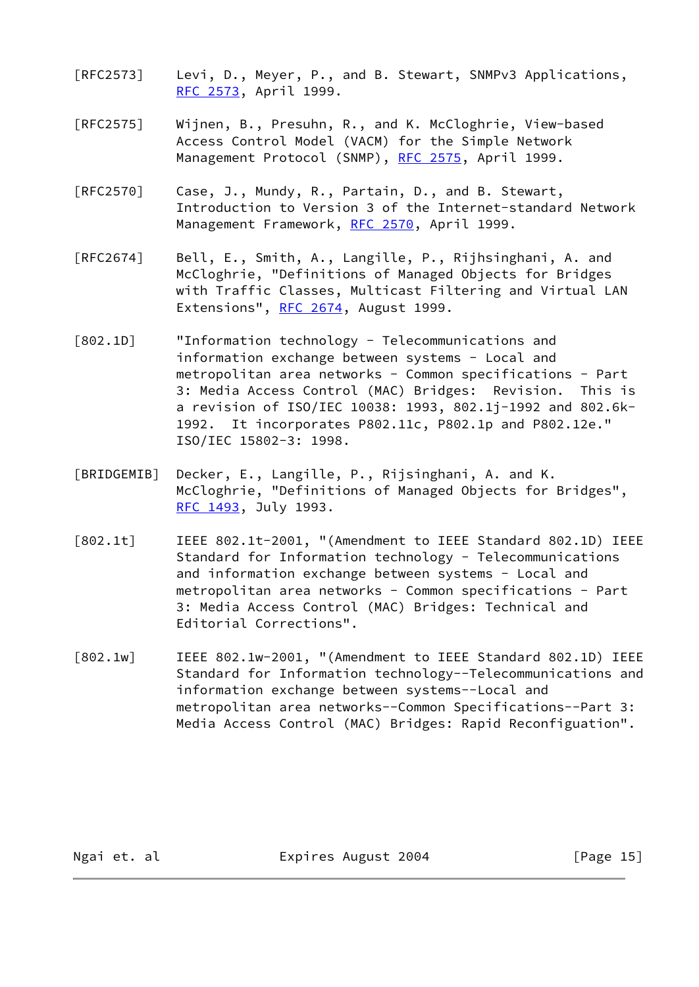- [RFC2573] Levi, D., Meyer, P., and B. Stewart, SNMPv3 Applications, [RFC 2573](https://datatracker.ietf.org/doc/pdf/rfc2573), April 1999.
- [RFC2575] Wijnen, B., Presuhn, R., and K. McCloghrie, View-based Access Control Model (VACM) for the Simple Network Management Protocol (SNMP), [RFC 2575](https://datatracker.ietf.org/doc/pdf/rfc2575), April 1999.
- [RFC2570] Case, J., Mundy, R., Partain, D., and B. Stewart, Introduction to Version 3 of the Internet-standard Network Management Framework, [RFC 2570](https://datatracker.ietf.org/doc/pdf/rfc2570), April 1999.
- [RFC2674] Bell, E., Smith, A., Langille, P., Rijhsinghani, A. and McCloghrie, "Definitions of Managed Objects for Bridges with Traffic Classes, Multicast Filtering and Virtual LAN Extensions", [RFC 2674,](https://datatracker.ietf.org/doc/pdf/rfc2674) August 1999.
- <span id="page-16-3"></span>[802.1D] "Information technology - Telecommunications and information exchange between systems - Local and metropolitan area networks - Common specifications - Part 3: Media Access Control (MAC) Bridges: Revision. This is a revision of ISO/IEC 10038: 1993, 802.1j-1992 and 802.6k- 1992. It incorporates P802.11c, P802.1p and P802.12e." ISO/IEC 15802-3: 1998.
- <span id="page-16-2"></span>[BRIDGEMIB] Decker, E., Langille, P., Rijsinghani, A. and K. McCloghrie, "Definitions of Managed Objects for Bridges", [RFC 1493](https://datatracker.ietf.org/doc/pdf/rfc1493), July 1993.
- <span id="page-16-0"></span>[802.1t] IEEE 802.1t-2001, "(Amendment to IEEE Standard 802.1D) IEEE Standard for Information technology - Telecommunications and information exchange between systems - Local and metropolitan area networks - Common specifications - Part 3: Media Access Control (MAC) Bridges: Technical and Editorial Corrections".
- <span id="page-16-1"></span>[802.1w] IEEE 802.1w-2001, "(Amendment to IEEE Standard 802.1D) IEEE Standard for Information technology--Telecommunications and information exchange between systems--Local and metropolitan area networks--Common Specifications--Part 3: Media Access Control (MAC) Bridges: Rapid Reconfiguation".

Ngai et. al  $Expires$  August 2004 [Page 15]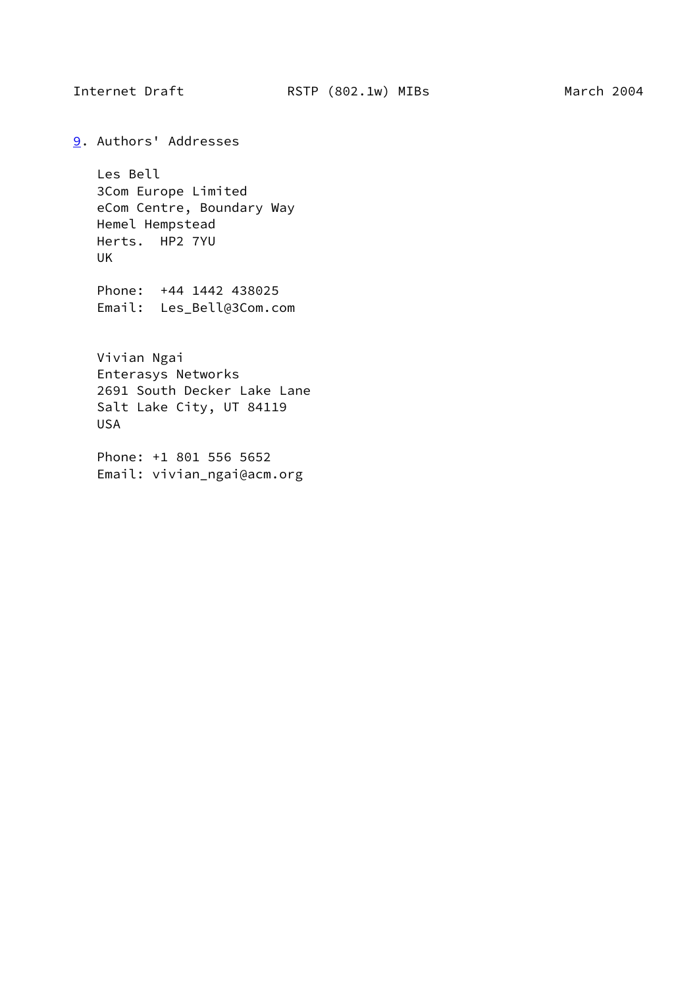<span id="page-17-0"></span>

<span id="page-17-1"></span>[9](#page-17-1). Authors' Addresses

 Les Bell 3Com Europe Limited eCom Centre, Boundary Way Hemel Hempstead Herts. HP2 7YU UK

 Phone: +44 1442 438025 Email: Les\_Bell@3Com.com

 Vivian Ngai Enterasys Networks 2691 South Decker Lake Lane Salt Lake City, UT 84119 USA

 Phone: +1 801 556 5652 Email: vivian\_ngai@acm.org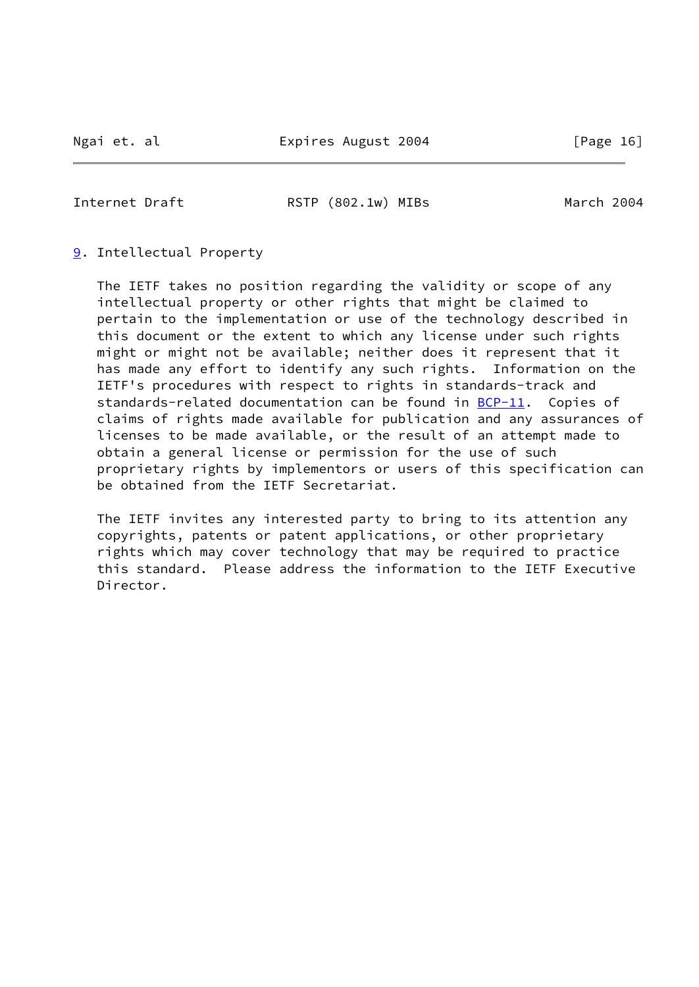<span id="page-18-0"></span>

Internet Draft **RSTP** (802.1w) MIBs March 2004

### [9](#page-17-1). Intellectual Property

 The IETF takes no position regarding the validity or scope of any intellectual property or other rights that might be claimed to pertain to the implementation or use of the technology described in this document or the extent to which any license under such rights might or might not be available; neither does it represent that it has made any effort to identify any such rights. Information on the IETF's procedures with respect to rights in standards-track and standards-related documentation can be found in [BCP-11](https://datatracker.ietf.org/doc/pdf/bcp11). Copies of claims of rights made available for publication and any assurances of licenses to be made available, or the result of an attempt made to obtain a general license or permission for the use of such proprietary rights by implementors or users of this specification can be obtained from the IETF Secretariat.

 The IETF invites any interested party to bring to its attention any copyrights, patents or patent applications, or other proprietary rights which may cover technology that may be required to practice this standard. Please address the information to the IETF Executive Director.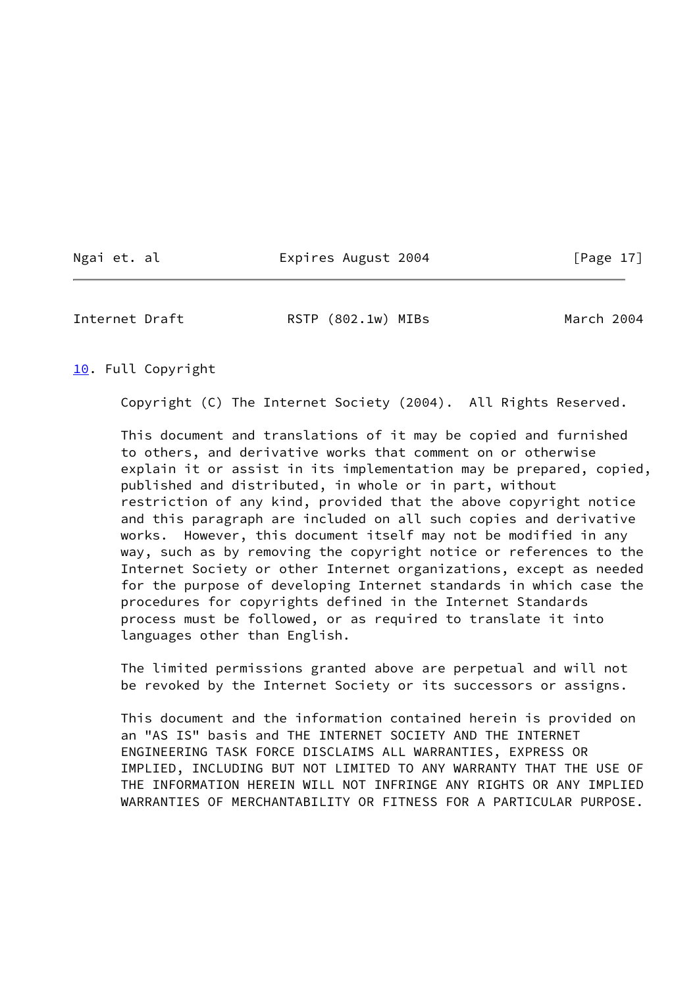Ngai et. al Expires August 2004 [Page 17]

<span id="page-19-1"></span>Internet Draft RSTP (802.1w) MIBs March 2004

#### <span id="page-19-0"></span>[10.](#page-19-0) Full Copyright

Copyright (C) The Internet Society (2004). All Rights Reserved.

 This document and translations of it may be copied and furnished to others, and derivative works that comment on or otherwise explain it or assist in its implementation may be prepared, copied, published and distributed, in whole or in part, without restriction of any kind, provided that the above copyright notice and this paragraph are included on all such copies and derivative works. However, this document itself may not be modified in any way, such as by removing the copyright notice or references to the Internet Society or other Internet organizations, except as needed for the purpose of developing Internet standards in which case the procedures for copyrights defined in the Internet Standards process must be followed, or as required to translate it into languages other than English.

 The limited permissions granted above are perpetual and will not be revoked by the Internet Society or its successors or assigns.

 This document and the information contained herein is provided on an "AS IS" basis and THE INTERNET SOCIETY AND THE INTERNET ENGINEERING TASK FORCE DISCLAIMS ALL WARRANTIES, EXPRESS OR IMPLIED, INCLUDING BUT NOT LIMITED TO ANY WARRANTY THAT THE USE OF THE INFORMATION HEREIN WILL NOT INFRINGE ANY RIGHTS OR ANY IMPLIED WARRANTIES OF MERCHANTABILITY OR FITNESS FOR A PARTICULAR PURPOSE.